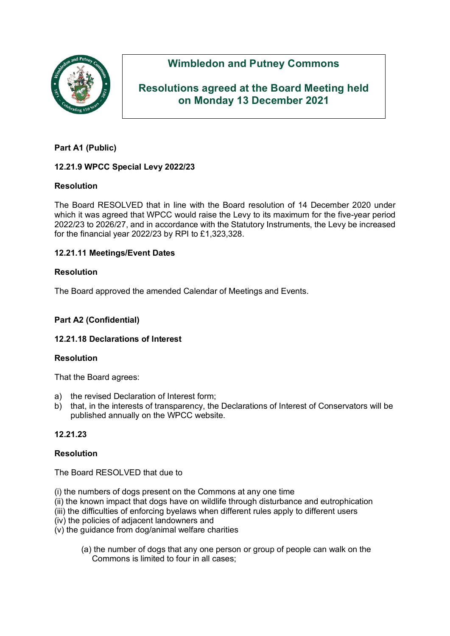

# **Wimbledon and Putney Commons**

## **Resolutions agreed at the Board Meeting held on Monday 13 December 2021**

## **Part A1 (Public)**

## **12.21.9 WPCC Special Levy 2022/23**

## **Resolution**

The Board RESOLVED that in line with the Board resolution of 14 December 2020 under which it was agreed that WPCC would raise the Levy to its maximum for the five-year period 2022/23 to 2026/27, and in accordance with the Statutory Instruments, the Levy be increased for the financial year 2022/23 by RPI to £1,323,328.

### **12.21.11 Meetings/Event Dates**

### **Resolution**

The Board approved the amended Calendar of Meetings and Events.

## **Part A2 (Confidential)**

#### **12.21.18 Declarations of Interest**

#### **Resolution**

That the Board agrees:

- a) the revised Declaration of Interest form;
- b) that, in the interests of transparency, the Declarations of Interest of Conservators will be published annually on the WPCC website.

## **12.21.23**

#### **Resolution**

The Board RESOLVED that due to

- (i) the numbers of dogs present on the Commons at any one time
- (ii) the known impact that dogs have on wildlife through disturbance and eutrophication
- (iii) the difficulties of enforcing byelaws when different rules apply to different users
- (iv) the policies of adjacent landowners and
- (v) the guidance from dog/animal welfare charities
	- (a) the number of dogs that any one person or group of people can walk on the Commons is limited to four in all cases;